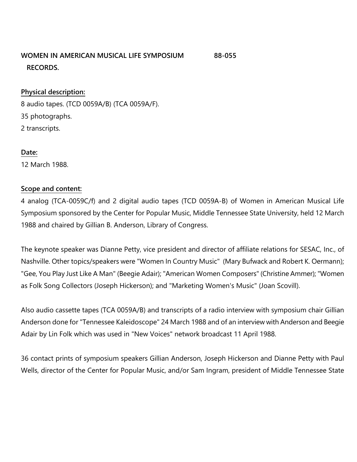## **WOMEN IN AMERICAN MUSICAL LIFE SYMPOSIUM 88-055 RECORDS.**

#### **Physical description:**

8 audio tapes. (TCD 0059A/B) (TCA 0059A/F). 35 photographs. 2 transcripts.

#### **Date:**

12 March 1988.

#### **Scope and content:**

4 analog (TCA-0059C/f) and 2 digital audio tapes (TCD 0059A-B) of Women in American Musical Life Symposium sponsored by the Center for Popular Music, Middle Tennessee State University, held 12 March 1988 and chaired by Gillian B. Anderson, Library of Congress.

The keynote speaker was Dianne Petty, vice president and director of affiliate relations for SESAC, Inc., of Nashville. Other topics/speakers were "Women In Country Music" (Mary Bufwack and Robert K. Oermann); "Gee, You Play Just Like A Man" (Beegie Adair); "American Women Composers" (Christine Ammer); "Women as Folk Song Collectors (Joseph Hickerson); and "Marketing Women's Music" (Joan Scovill).

Also audio cassette tapes (TCA 0059A/B) and transcripts of a radio interview with symposium chair Gillian Anderson done for "Tennessee Kaleidoscope" 24 March 1988 and of an interview with Anderson and Beegie Adair by Lin Folk which was used in "New Voices" network broadcast 11 April 1988.

36 contact prints of symposium speakers Gillian Anderson, Joseph Hickerson and Dianne Petty with Paul Wells, director of the Center for Popular Music, and/or Sam Ingram, president of Middle Tennessee State